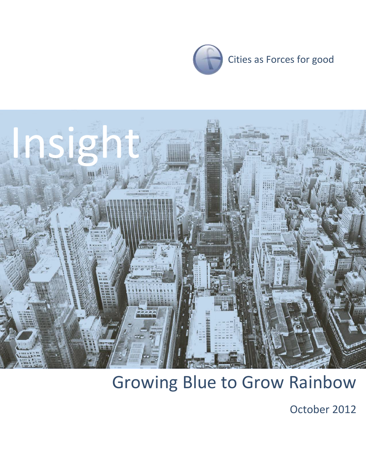



# Growing Blue to Grow Rainbow

October 2012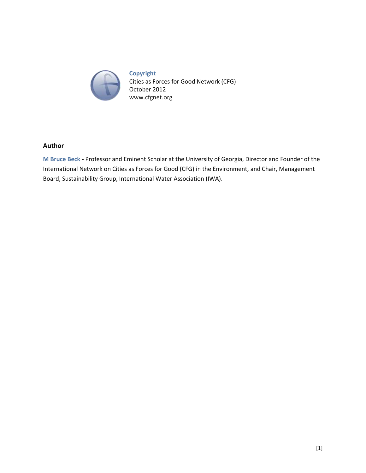

**Copyright** Cities as Forces for Good Network (CFG) October 2012 www.cfgnet.org

#### **Author**

**M Bruce Beck -** Professor and Eminent Scholar at the University of Georgia, Director and Founder of the International Network on Cities as Forces for Good (CFG) in the Environment, and Chair, Management Board, Sustainability Group, International Water Association (IWA).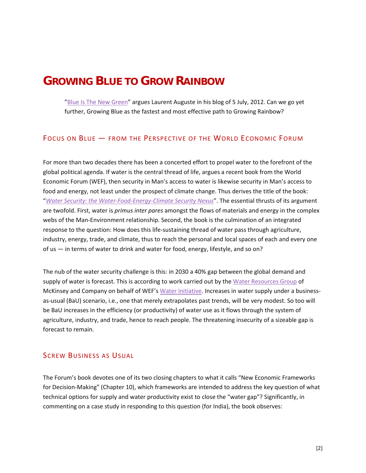# **GROWING BLUE TO GROW RAINBOW**

"[Blue Is The New Green](http://growingblue.com/2012/07/05/blue-is-the-new-green-2/)" argues Laurent Auguste in his blog of 5 July, 2012. Can we go yet further, Growing Blue as the fastest and most effective path to Growing Rainbow?

#### FOCUS ON BLUE — FROM THE PERSPECTIVE OF THE WORLD ECONOMIC FORUM

For more than two decades there has been a concerted effort to propel water to the forefront of the global political agenda. If water is the central thread of life, argues a recent book from the World Economic Forum (WEF), then security in Man's access to water is likewise security in Man's access to food and energy, not least under the prospect of climate change. Thus derives the title of the book: "*[Water Security: the Water-Food-Energy-Climate Security Nexus](http://www.weforum.org/reports/water-security-water-energy-food-climate-nexus)*". The essential thrusts of its argument are twofold. First, water is *primus inter pares* amongst the flows of materials and energy in the complex webs of the Man-Environment relationship. Second, the book is the culmination of an integrated response to the question: How does this life-sustaining thread of water pass through agriculture, industry, energy, trade, and climate, thus to reach the personal and local spaces of each and every one of us — in terms of water to drink and water for food, energy, lifestyle, and so on?

The nub of the water security challenge is this: in 2030 a 40% gap between the global demand and supply of water is forecast. This is according to work carried out by the [Water Resources Group](http://www.2030waterresourcesgroup.com/) of McKinsey and Company on behalf of WEF's [Water Initiative.](http://www.weforum.org/issues/water) Increases in water supply under a businessas-usual (BaU) scenario, i.e., one that merely extrapolates past trends, will be very modest. So too will be BaU increases in the efficiency (or productivity) of water use as it flows through the system of agriculture, industry, and trade, hence to reach people. The threatening insecurity of a sizeable gap is forecast to remain.

#### SCREW BUSINESS AS USUAL

The Forum's book devotes one of its two closing chapters to what it calls "New Economic Frameworks for Decision-Making" (Chapter 10), which frameworks are intended to address the key question of what technical options for supply and water productivity exist to close the "water gap"? Significantly, in commenting on a case study in responding to this question (for India), the book observes: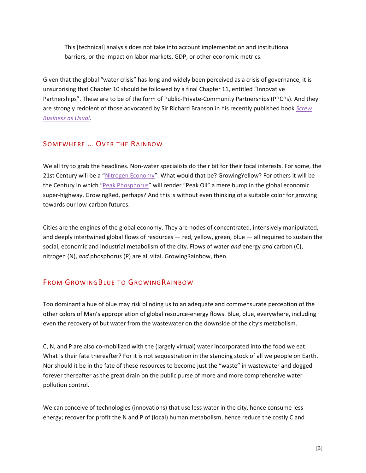This [technical] analysis does not take into account implementation and institutional barriers, or the impact on labor markets, GDP, or other economic metrics.

Given that the global "water crisis" has long and widely been perceived as a crisis of governance, it is unsurprising that Chapter 10 should be followed by a final Chapter 11, entitled "Innovative Partnerships". These are to be of the form of Public-Private-Community Partnerships (PPCPs). And they are strongly redolent of those advocated by Sir Richard Branson in his recently published book *[Screw](http://cfgnet.org/archives/945)  [Business as Usual](http://cfgnet.org/archives/945)*.

### SOMEWHERE … OVER THE RAINBOW

We all try to grab the headlines. Non-water specialists do their bit for their focal interests. For some, the 21st Century will be a "[Nitrogen Economy](http://www.nature.com/ngeo/journal/v1/n10/abs/ngeo325.html)". What would that be? GrowingYellow? For others it will be the Century in which "[Peak Phosphorus](http://www.nature.com/nature/journal/v478/n7367/full/478029a.html)" will render "Peak Oil" a mere bump in the global economic super-highway. GrowingRed, perhaps? And this is without even thinking of a suitable color for growing towards our low-carbon futures.

Cities are the engines of the global economy. They are nodes of concentrated, intensively manipulated, and deeply intertwined global flows of resources — red, yellow, green, blue — all required to sustain the social, economic and industrial metabolism of the city. Flows of water *and* energy *and* carbon (C), nitrogen (N), *and* phosphorus (P) are all vital. GrowingRainbow, then.

## FROM GROWINGBLUE TO GROWINGRAINBOW

Too dominant a hue of blue may risk blinding us to an adequate and commensurate perception of the other colors of Man's appropriation of global resource-energy flows. Blue, blue, everywhere, including even the recovery of but water from the wastewater on the downside of the city's metabolism.

C, N, and P are also co-mobilized with the (largely virtual) water incorporated into the food we eat. What is their fate thereafter? For it is not sequestration in the standing stock of all we people on Earth. Nor should it be in the fate of these resources to become just the "waste" in wastewater and dogged forever thereafter as the great drain on the public purse of more and more comprehensive water pollution control.

We can conceive of technologies (innovations) that use less water in the city, hence consume less energy; recover for profit the N and P of (local) human metabolism, hence reduce the costly C and